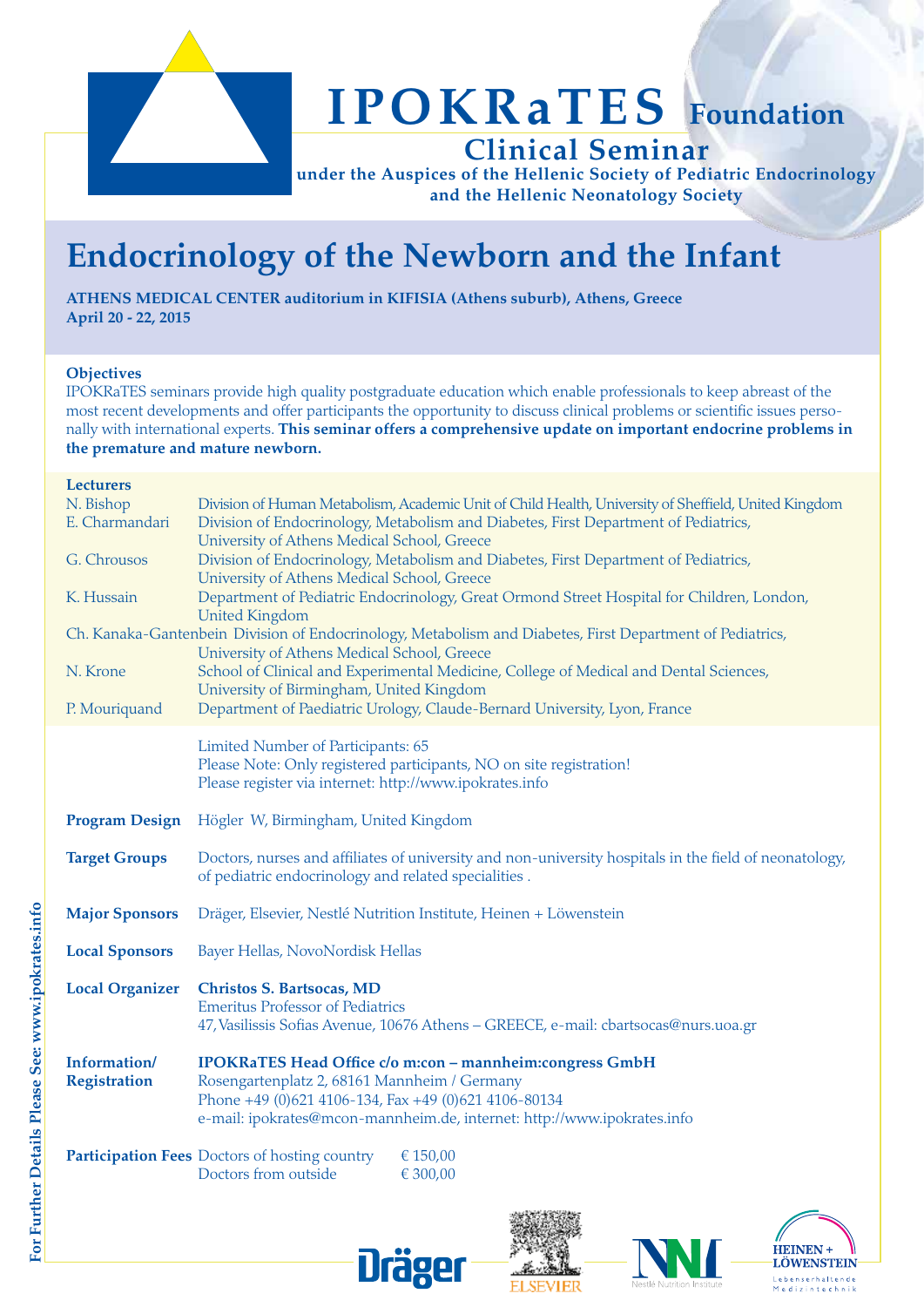

## **IPOKRaTES Foundation Clinical Seminar**

**under the Auspices of the Hellenic Society of Pediatric Endocrinology and the Hellenic Neonatology Society**

## **Endocrinology of the Newborn and the Infant**

**ATHENS MEDICAL CENTER auditorium in KIFISIA (Athens suburb), Athens, Greece April 20 - 22, 2015**

#### **Objectives**

IPOKRaTES seminars provide high quality postgraduate education which enable professionals to keep abreast of the most recent developments and offer participants the opportunity to discuss clinical problems or scientific issues personally with international experts. **This seminar offers a comprehensive update on important endocrine problems in the premature and mature newborn.** 

#### **Lecturers**

| N. Bishop<br>E. Charmandari                                                                               | Division of Human Metabolism, Academic Unit of Child Health, University of Sheffield, United Kingdom                                                           |  |  |  |  |
|-----------------------------------------------------------------------------------------------------------|----------------------------------------------------------------------------------------------------------------------------------------------------------------|--|--|--|--|
|                                                                                                           | Division of Endocrinology, Metabolism and Diabetes, First Department of Pediatrics,<br>University of Athens Medical School, Greece                             |  |  |  |  |
| G. Chrousos                                                                                               | Division of Endocrinology, Metabolism and Diabetes, First Department of Pediatrics,                                                                            |  |  |  |  |
|                                                                                                           | University of Athens Medical School, Greece                                                                                                                    |  |  |  |  |
| K. Hussain                                                                                                | Department of Pediatric Endocrinology, Great Ormond Street Hospital for Children, London,<br><b>United Kingdom</b>                                             |  |  |  |  |
| Ch. Kanaka-Gantenbein Division of Endocrinology, Metabolism and Diabetes, First Department of Pediatrics, |                                                                                                                                                                |  |  |  |  |
|                                                                                                           | University of Athens Medical School, Greece                                                                                                                    |  |  |  |  |
| N. Krone                                                                                                  | School of Clinical and Experimental Medicine, College of Medical and Dental Sciences,                                                                          |  |  |  |  |
|                                                                                                           | University of Birmingham, United Kingdom                                                                                                                       |  |  |  |  |
| P. Mouriquand                                                                                             | Department of Paediatric Urology, Claude-Bernard University, Lyon, France                                                                                      |  |  |  |  |
|                                                                                                           | Limited Number of Participants: 65                                                                                                                             |  |  |  |  |
|                                                                                                           | Please Note: Only registered participants, NO on site registration!                                                                                            |  |  |  |  |
|                                                                                                           | Please register via internet: http://www.ipokrates.info                                                                                                        |  |  |  |  |
| <b>Program Design</b>                                                                                     | Högler W, Birmingham, United Kingdom                                                                                                                           |  |  |  |  |
|                                                                                                           |                                                                                                                                                                |  |  |  |  |
| <b>Target Groups</b>                                                                                      | Doctors, nurses and affiliates of university and non-university hospitals in the field of neonatology,<br>of pediatric endocrinology and related specialities. |  |  |  |  |
|                                                                                                           |                                                                                                                                                                |  |  |  |  |
| <b>Major Sponsors</b>                                                                                     | Dräger, Elsevier, Nestlé Nutrition Institute, Heinen + Löwenstein                                                                                              |  |  |  |  |
| <b>Local Sponsors</b>                                                                                     | Bayer Hellas, NovoNordisk Hellas                                                                                                                               |  |  |  |  |
| <b>Local Organizer</b>                                                                                    | <b>Christos S. Bartsocas, MD</b>                                                                                                                               |  |  |  |  |
|                                                                                                           | <b>Emeritus Professor of Pediatrics</b>                                                                                                                        |  |  |  |  |
|                                                                                                           | 47, Vasilissis Sofias Avenue, 10676 Athens - GREECE, e-mail: cbartsocas@nurs.uoa.gr                                                                            |  |  |  |  |
| Information/                                                                                              | IPOKRaTES Head Office c/o m:con - mannheim:congress GmbH                                                                                                       |  |  |  |  |
| <b>Registration</b>                                                                                       | Rosengartenplatz 2, 68161 Mannheim / Germany                                                                                                                   |  |  |  |  |
|                                                                                                           | Phone +49 (0)621 4106-134, Fax +49 (0)621 4106-80134                                                                                                           |  |  |  |  |
|                                                                                                           | e-mail: ipokrates@mcon-mannheim.de, internet: http://www.ipokrates.info                                                                                        |  |  |  |  |
|                                                                                                           | <b>Participation Fees Doctors of hosting country</b><br>€ 150,00                                                                                               |  |  |  |  |
|                                                                                                           | Doctors from outside<br>€ 300,00                                                                                                                               |  |  |  |  |
|                                                                                                           |                                                                                                                                                                |  |  |  |  |